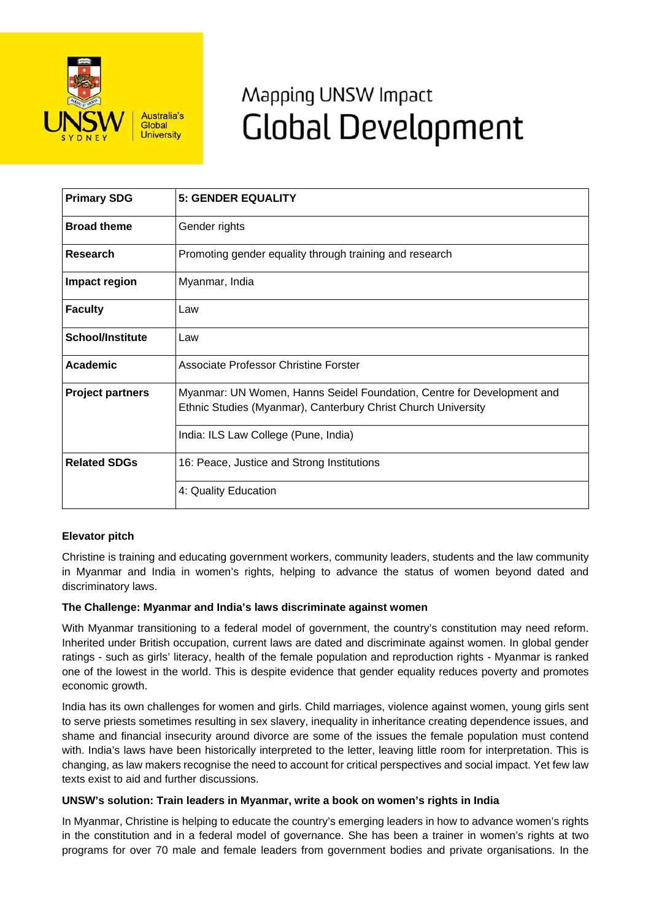

# Mapping UNSW Impact **Global Development**

| <b>Primary SDG</b>      | <b>5: GENDER EQUALITY</b>                                                                                                               |
|-------------------------|-----------------------------------------------------------------------------------------------------------------------------------------|
| <b>Broad theme</b>      | Gender rights                                                                                                                           |
| <b>Research</b>         | Promoting gender equality through training and research                                                                                 |
| Impact region           | Myanmar, India                                                                                                                          |
| <b>Faculty</b>          | Law                                                                                                                                     |
| <b>School/Institute</b> | Law                                                                                                                                     |
| Academic                | Associate Professor Christine Forster                                                                                                   |
| <b>Project partners</b> | Myanmar: UN Women, Hanns Seidel Foundation, Centre for Development and<br>Ethnic Studies (Myanmar), Canterbury Christ Church University |
|                         | India: ILS Law College (Pune, India)                                                                                                    |
| <b>Related SDGs</b>     | 16: Peace, Justice and Strong Institutions                                                                                              |
|                         | 4: Quality Education                                                                                                                    |

# **Elevator pitch**

Christine is training and educating government workers, community leaders, students and the law community in Myanmar and India in women's rights, helping to advance the status of women beyond dated and discriminatory laws.

#### **The Challenge: Myanmar and India's laws discriminate against women**

With Myanmar transitioning to a federal model of government, the country's constitution may need reform. Inherited under British occupation, current laws are dated and discriminate against women. In global gender ratings - such as girls' literacy, health of the female population and reproduction rights - Myanmar is ranked one of the lowest in the world. This is despite evidence that gender equality reduces poverty and promotes economic growth.

India has its own challenges for women and girls. Child marriages, violence against women, young girls sent to serve priests sometimes resulting in sex slavery, inequality in inheritance creating dependence issues, and shame and financial insecurity around divorce are some of the issues the female population must contend with. India's laws have been historically interpreted to the letter, leaving little room for interpretation. This is changing, as law makers recognise the need to account for critical perspectives and social impact. Yet few law texts exist to aid and further discussions.

#### **UNSW's solution: Train leaders in Myanmar, write a book on women's rights in India**

In Myanmar, Christine is helping to educate the country's emerging leaders in how to advance women's rights in the constitution and in a federal model of governance. She has been a trainer in women's rights at two programs for over 70 male and female leaders from government bodies and private organisations. In the